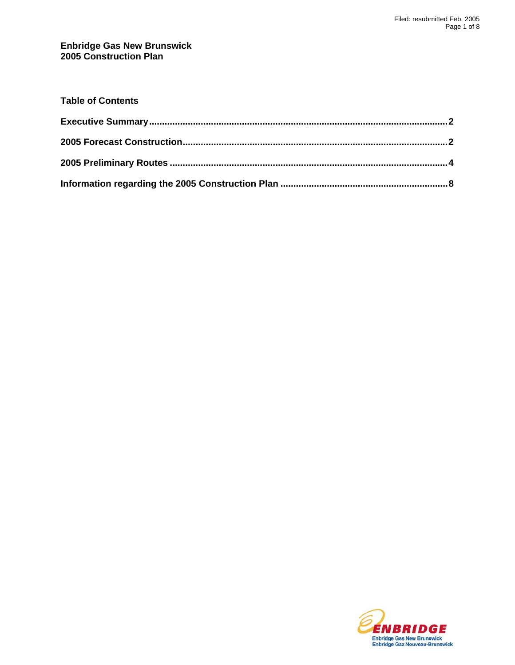#### **Enbridge Gas New Brunswick 2005 Construction Plan**

| <b>Table of Contents</b> |  |
|--------------------------|--|
|                          |  |
|                          |  |
|                          |  |
|                          |  |

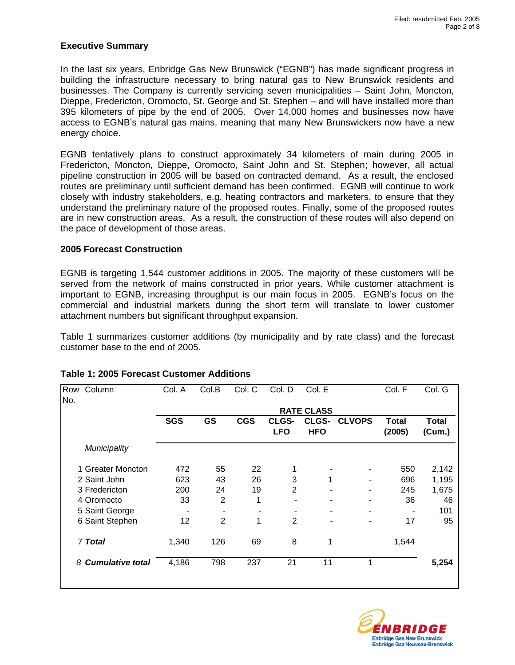#### <span id="page-1-0"></span>**Executive Summary**

In the last six years, Enbridge Gas New Brunswick ("EGNB") has made significant progress in building the infrastructure necessary to bring natural gas to New Brunswick residents and businesses. The Company is currently servicing seven municipalities – Saint John, Moncton, Dieppe, Fredericton, Oromocto, St. George and St. Stephen – and will have installed more than 395 kilometers of pipe by the end of 2005. Over 14,000 homes and businesses now have access to EGNB's natural gas mains, meaning that many New Brunswickers now have a new energy choice.

EGNB tentatively plans to construct approximately 34 kilometers of main during 2005 in Fredericton, Moncton, Dieppe, Oromocto, Saint John and St. Stephen; however, all actual pipeline construction in 2005 will be based on contracted demand. As a result, the enclosed routes are preliminary until sufficient demand has been confirmed. EGNB will continue to work closely with industry stakeholders, e.g. heating contractors and marketers, to ensure that they understand the preliminary nature of the proposed routes. Finally, some of the proposed routes are in new construction areas. As a result, the construction of these routes will also depend on the pace of development of those areas.

#### **2005 Forecast Construction**

EGNB is targeting 1,544 customer additions in 2005. The majority of these customers will be served from the network of mains constructed in prior years. While customer attachment is important to EGNB, increasing throughput is our main focus in 2005. EGNB's focus on the commercial and industrial markets during the short term will translate to lower customer attachment numbers but significant throughput expansion.

Table 1 summarizes customer additions (by municipality and by rate class) and the forecast customer base to the end of 2005.

| Municipality<br>1 Greater Moncton | <b>SGS</b> | <b>GS</b>      | <b>CGS</b> | CLGS-<br><b>LFO</b> | <b>RATE CLASS</b><br>CLGS-<br><b>HFO</b> | <b>CLVOPS</b>  | <b>Total</b><br>(2005) | <b>Total</b><br>(Cum.) |
|-----------------------------------|------------|----------------|------------|---------------------|------------------------------------------|----------------|------------------------|------------------------|
|                                   |            |                |            |                     |                                          |                |                        |                        |
|                                   |            |                |            |                     |                                          |                |                        |                        |
|                                   |            |                |            |                     |                                          |                |                        |                        |
|                                   | 472        | 55             | 22         |                     |                                          |                | 550                    | 2,142                  |
| 2 Saint John                      | 623        | 43             | 26         | 3                   | 1                                        |                | 696                    | 1,195                  |
| 3 Fredericton                     | 200        | 24             | 19         | 2                   |                                          | $\blacksquare$ | 245                    | 1,675                  |
| 4 Oromocto                        | 33         | $\overline{2}$ | 1          |                     |                                          |                | 36                     | 46                     |
| 5 Saint George                    |            |                |            |                     |                                          |                |                        | 101                    |
| 6 Saint Stephen                   | 12         | 2              |            | $\overline{2}$      |                                          |                | 17                     | 95                     |
|                                   | 1,340      | 126            | 69         | 8                   | 1                                        |                | 1,544                  |                        |
| <b>Cumulative total</b>           | 4,186      | 798            | 237        | 21                  | 11                                       | 1              |                        | 5,254                  |
|                                   |            |                |            |                     |                                          |                |                        |                        |

### **Table 1: 2005 Forecast Customer Additions**

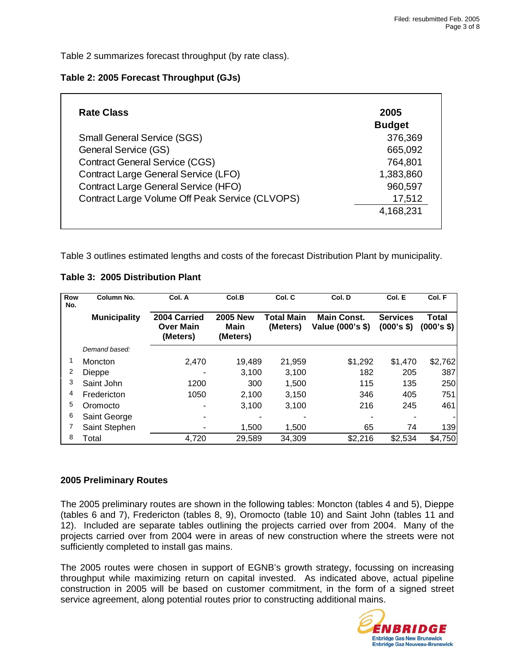Table 2 summarizes forecast throughput (by rate class).

### **Table 2: 2005 Forecast Throughput (GJs)**

| <b>Rate Class</b>                               | 2005          |
|-------------------------------------------------|---------------|
|                                                 | <b>Budget</b> |
| <b>Small General Service (SGS)</b>              | 376,369       |
| <b>General Service (GS)</b>                     | 665,092       |
| <b>Contract General Service (CGS)</b>           | 764,801       |
| <b>Contract Large General Service (LFO)</b>     | 1,383,860     |
| <b>Contract Large General Service (HFO)</b>     | 960,597       |
| Contract Large Volume Off Peak Service (CLVOPS) | 17,512        |
|                                                 | 4,168,231     |

Table 3 outlines estimated lengths and costs of the forecast Distribution Plant by municipality.

### **Table 3: 2005 Distribution Plant**

| Row<br>No. | Column No.          | Col. A                                       | Col.B                               | Col. C                        | Col. D                                 | Col. E                        | Col. F              |
|------------|---------------------|----------------------------------------------|-------------------------------------|-------------------------------|----------------------------------------|-------------------------------|---------------------|
|            | <b>Municipality</b> | 2004 Carried<br><b>Over Main</b><br>(Meters) | <b>2005 New</b><br>Main<br>(Meters) | <b>Total Main</b><br>(Meters) | <b>Main Const.</b><br>Value (000's \$) | <b>Services</b><br>(000's \$) | Total<br>(000's \$) |
|            | Demand based:       |                                              |                                     |                               |                                        |                               |                     |
|            | Moncton             | 2.470                                        | 19.489                              | 21,959                        | \$1,292                                | \$1,470                       | \$2,762             |
| 2          | Dieppe              |                                              | 3,100                               | 3,100                         | 182                                    | 205                           | 387                 |
| 3          | Saint John          | 1200                                         | 300                                 | 1,500                         | 115                                    | 135                           | 250                 |
| 4          | Fredericton         | 1050                                         | 2,100                               | 3,150                         | 346                                    | 405                           | 751                 |
| 5          | Oromocto            |                                              | 3,100                               | 3,100                         | 216                                    | 245                           | 461                 |
| 6          | Saint George        |                                              |                                     |                               |                                        |                               |                     |
|            | Saint Stephen       |                                              | 1,500                               | 1,500                         | 65                                     | 74                            | 139                 |
| 8          | Total               | 4,720                                        | 29,589                              | 34,309                        | \$2,216                                | \$2,534                       | \$4,750             |

### **2005 Preliminary Routes**

The 2005 preliminary routes are shown in the following tables: Moncton (tables 4 and 5), Dieppe (tables 6 and 7), Fredericton (tables 8, 9), Oromocto (table 10) and Saint John (tables 11 and 12). Included are separate tables outlining the projects carried over from 2004. Many of the projects carried over from 2004 were in areas of new construction where the streets were not sufficiently completed to install gas mains.

The 2005 routes were chosen in support of EGNB's growth strategy, focussing on increasing throughput while maximizing return on capital invested. As indicated above, actual pipeline construction in 2005 will be based on customer commitment, in the form of a signed street service agreement, along potential routes prior to constructing additional mains.

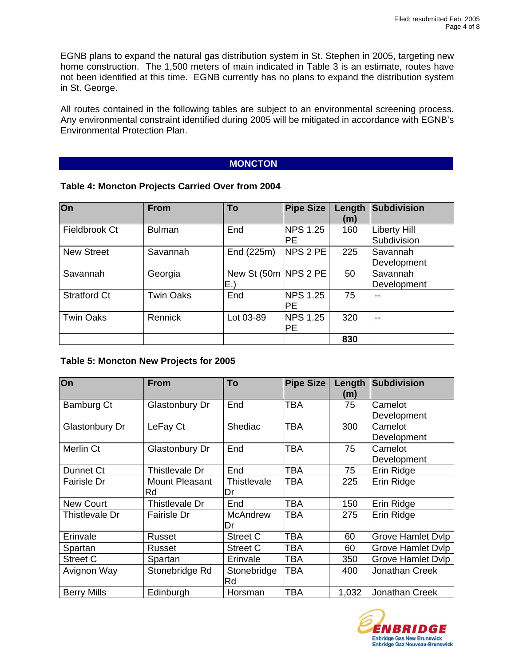EGNB plans to expand the natural gas distribution system in St. Stephen in 2005, targeting new home construction. The 1,500 meters of main indicated in Table 3 is an estimate, routes have not been identified at this time. EGNB currently has no plans to expand the distribution system in St. George.

All routes contained in the following tables are subject to an environmental screening process. Any environmental constraint identified during 2005 will be mitigated in accordance with EGNB's Environmental Protection Plan.

## **MONCTON**

### **Table 4: Moncton Projects Carried Over from 2004**

| On                  | <b>From</b>      | To                           | <b>Pipe Size</b>        | Length<br>(m) | Subdivision                        |
|---------------------|------------------|------------------------------|-------------------------|---------------|------------------------------------|
| Fieldbrook Ct       | <b>Bulman</b>    | End                          | NPS 1.25<br><b>PE</b>   | 160           | <b>Liberty Hill</b><br>Subdivision |
| <b>New Street</b>   | Savannah         | End (225m)                   | NPS 2 PE                | 225           | Savannah<br>Development            |
| Savannah            | Georgia          | New St (50m   NPS 2 PE<br>E. |                         | 50            | Savannah<br>Development            |
| <b>Stratford Ct</b> | <b>Twin Oaks</b> | End                          | NPS 1.25<br><b>PE</b>   | 75            | $- -$                              |
| <b>Twin Oaks</b>    | Rennick          | Lot 03-89                    | <b>NPS 1.25</b><br>IPE. | 320           | $- -$                              |
|                     |                  |                              |                         | 830           |                                    |

### **Table 5: Moncton New Projects for 2005**

| On                 | <b>From</b>           | To              | <b>Pipe Size</b> | Length<br>(m) | Subdivision              |
|--------------------|-----------------------|-----------------|------------------|---------------|--------------------------|
| Bamburg Ct         | <b>Glastonbury Dr</b> | End             | <b>TBA</b>       | 75            | Camelot                  |
|                    |                       |                 |                  |               | Development              |
| Glastonbury Dr     | LeFay Ct              | Shediac         | <b>TBA</b>       | 300           | Camelot                  |
|                    |                       |                 |                  |               | Development              |
| Merlin Ct          | Glastonbury Dr        | End             | TBA              | 75            | Camelot                  |
|                    |                       |                 |                  |               | Development              |
| Dunnet Ct          | Thistlevale Dr        | End             | <b>TBA</b>       | 75            | Erin Ridge               |
| <b>Fairisle Dr</b> | Mount Pleasant        | Thistlevale     | <b>TBA</b>       | 225           | Erin Ridge               |
|                    | Rd                    | Dr              |                  |               |                          |
| <b>New Court</b>   | Thistlevale Dr        | End             | TBA              | 150           | Erin Ridge               |
| Thistlevale Dr     | Fairisle Dr           | <b>McAndrew</b> | TBA              | 275           | Erin Ridge               |
|                    |                       | Dr              |                  |               |                          |
| Erinvale           | Russet                | Street C        | TBA              | 60            | <b>Grove Hamlet Dvlp</b> |
| Spartan            | Russet                | <b>Street C</b> | TBA              | 60            | <b>Grove Hamlet Dvlp</b> |
| <b>Street C</b>    | Spartan               | Erinvale        | TBA              | 350           | <b>Grove Hamlet Dvlp</b> |
| Avignon Way        | Stonebridge Rd        | Stonebridge     | <b>TBA</b>       | 400           | Jonathan Creek           |
|                    |                       | Rd              |                  |               |                          |
| <b>Berry Mills</b> | Edinburgh             | Horsman         | TBA              | 1,032         | Jonathan Creek           |

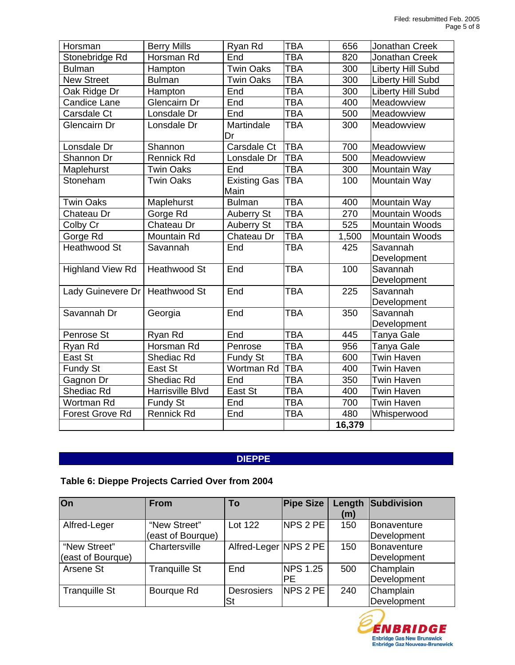| Horsman                 | <b>Berry Mills</b>  | Ryan Rd                     | TBA        | 656    | Jonathan Creek           |
|-------------------------|---------------------|-----------------------------|------------|--------|--------------------------|
| Stonebridge Rd          | Horsman Rd          | End                         | <b>TBA</b> | 820    | Jonathan Creek           |
| <b>Bulman</b>           | Hampton             | <b>Twin Oaks</b>            | <b>TBA</b> | 300    | <b>Liberty Hill Subd</b> |
| <b>New Street</b>       | <b>Bulman</b>       | <b>Twin Oaks</b>            | <b>TBA</b> | 300    | <b>Liberty Hill Subd</b> |
| Oak Ridge Dr            | Hampton             | End                         | <b>TBA</b> | 300    | <b>Liberty Hill Subd</b> |
| <b>Candice Lane</b>     | Glencairn Dr        | End                         | TBA        | 400    | Meadowview               |
| Carsdale Ct             | Lonsdale Dr         | End                         | TBA        | 500    | Meadowview               |
| Glencairn Dr            | Lonsdale Dr         | Martindale<br>Dr            | <b>TBA</b> | 300    | Meadowview               |
| Lonsdale Dr             | Shannon             | Carsdale Ct                 | <b>TBA</b> | 700    | Meadowview               |
| Shannon Dr              | <b>Rennick Rd</b>   | Lonsdale Dr                 | <b>TBA</b> | 500    | Meadowview               |
| Maplehurst              | <b>Twin Oaks</b>    | End                         | <b>TBA</b> | 300    | Mountain Way             |
| Stoneham                | <b>Twin Oaks</b>    | <b>Existing Gas</b><br>Main | <b>TBA</b> | 100    | Mountain Way             |
| <b>Twin Oaks</b>        | Maplehurst          | <b>Bulman</b>               | <b>TBA</b> | 400    | Mountain Way             |
| Chateau Dr              | Gorge Rd            | <b>Auberry St</b>           | <b>TBA</b> | 270    | Mountain Woods           |
| Colby Cr                | Chateau Dr          | Auberry St                  | <b>TBA</b> | 525    | <b>Mountain Woods</b>    |
| Gorge Rd                | Mountain Rd         | Chateau Dr                  | <b>TBA</b> | 1,500  | <b>Mountain Woods</b>    |
| <b>Heathwood St</b>     | Savannah            | End                         | <b>TBA</b> | 425    | Savannah                 |
|                         |                     |                             |            |        | Development              |
| <b>Highland View Rd</b> | <b>Heathwood St</b> | End                         | <b>TBA</b> | 100    | Savannah<br>Development  |
| Lady Guinevere Dr       | <b>Heathwood St</b> | End                         | <b>TBA</b> | 225    | Savannah                 |
|                         |                     |                             |            |        | Development              |
| Savannah Dr             | Georgia             | End                         | <b>TBA</b> | 350    | Savannah                 |
|                         |                     |                             |            |        | Development              |
| Penrose St              | Ryan Rd             | End                         | <b>TBA</b> | 445    | <b>Tanya Gale</b>        |
| Ryan Rd                 | Horsman Rd          | Penrose                     | <b>TBA</b> | 956    | Tanya Gale               |
| East St                 | Shediac Rd          | Fundy St                    | <b>TBA</b> | 600    | <b>Twin Haven</b>        |
| Fundy St                | East St             | Wortman Rd                  | <b>TBA</b> | 400    | <b>Twin Haven</b>        |
| Gagnon Dr               | Shediac Rd          | End                         | TBA        | 350    | <b>Twin Haven</b>        |
| Shediac Rd              | Harrisville Blvd    | East St                     | TBA        | 400    | Twin Haven               |
| Wortman Rd              | Fundy St            | End                         | TBA        | 700    | <b>Twin Haven</b>        |
| <b>Forest Grove Rd</b>  | Rennick Rd          | End                         | <b>TBA</b> | 480    | Whisperwood              |
|                         |                     |                             |            | 16,379 |                          |

# **DIEPPE**

# **Table 6: Dieppe Projects Carried Over from 2004**

| $\overline{On}$      | <b>From</b>          | To                    | <b>Pipe Size</b> | Length<br>(m) | Subdivision        |
|----------------------|----------------------|-----------------------|------------------|---------------|--------------------|
| Alfred-Leger         | "New Street"         | Lot 122               | NPS 2 PE         | 150           | <b>Bonaventure</b> |
|                      | (east of Bourque)    |                       |                  |               | Development        |
| "New Street"         | Chartersville        | Alfred-Leger NPS 2 PE |                  | 150           | Bonaventure        |
| (east of Bourque)    |                      |                       |                  |               | Development        |
| Arsene St            | <b>Tranquille St</b> | End                   | <b>NPS 1.25</b>  | 500           | Champlain          |
|                      |                      |                       | <b>PE</b>        |               | Development        |
| <b>Tranquille St</b> | Bourque Rd           | <b>Desrosiers</b>     | <b>NPS 2 PE</b>  | 240           | Champlain          |
|                      |                      | <b>St</b>             |                  |               | Development        |

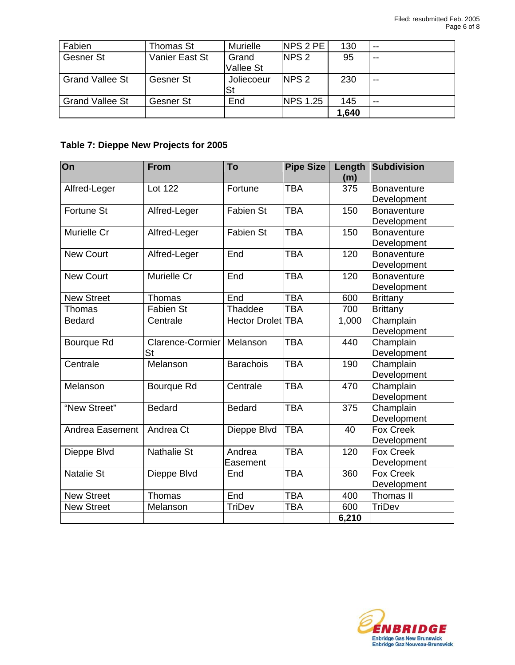| Fabien                 | Thomas St      | Murielle   | <b>NPS 2 PE</b>  | 130   | $- -$ |
|------------------------|----------------|------------|------------------|-------|-------|
| Gesner St              | Vanier East St | Grand      | NPS 2            | 95    | $- -$ |
|                        |                | Vallee St  |                  |       |       |
| <b>Grand Vallee St</b> | Gesner St      | Joliecoeur | NPS <sub>2</sub> | 230   | $- -$ |
|                        |                | St         |                  |       |       |
| <b>Grand Vallee St</b> | Gesner St      | End        | <b>NPS 1.25</b>  | 145   | $- -$ |
|                        |                |            |                  | 1,640 |       |

# **Table 7: Dieppe New Projects for 2005**

| On                | <b>From</b>        | To                | <b>Pipe Size</b> | Length<br>(m) | Subdivision        |
|-------------------|--------------------|-------------------|------------------|---------------|--------------------|
| Alfred-Leger      | Lot 122            | Fortune           | <b>TBA</b>       | 375           | <b>Bonaventure</b> |
|                   |                    |                   |                  |               | Development        |
| <b>Fortune St</b> | Alfred-Leger       | <b>Fabien St</b>  | <b>TBA</b>       | 150           | <b>Bonaventure</b> |
|                   |                    |                   |                  |               | Development        |
| Murielle Cr       | Alfred-Leger       | <b>Fabien St</b>  | <b>TBA</b>       | 150           | <b>Bonaventure</b> |
|                   |                    |                   |                  |               | Development        |
| <b>New Court</b>  | Alfred-Leger       | End               | <b>TBA</b>       | 120           | Bonaventure        |
|                   |                    |                   |                  |               | Development        |
| <b>New Court</b>  | Murielle Cr        | End               | <b>TBA</b>       | 120           | <b>Bonaventure</b> |
|                   |                    |                   |                  |               | Development        |
| <b>New Street</b> | Thomas             | End               | TBA              | 600           | <b>Brittany</b>    |
| Thomas            | <b>Fabien St</b>   | Thaddee           | <b>TBA</b>       | 700           | <b>Brittany</b>    |
| <b>Bedard</b>     | Centrale           | Hector Drolet TBA |                  | 1,000         | Champlain          |
|                   |                    |                   |                  |               | Development        |
| Bourque Rd        | Clarence-Cormier   | Melanson          | <b>TBA</b>       | 440           | Champlain          |
|                   | St                 |                   |                  |               | Development        |
| Centrale          | Melanson           | <b>Barachois</b>  | <b>TBA</b>       | 190           | Champlain          |
|                   |                    |                   |                  |               | Development        |
| Melanson          | Bourque Rd         | Centrale          | <b>TBA</b>       | 470           | Champlain          |
|                   |                    |                   |                  |               | Development        |
| "New Street"      | <b>Bedard</b>      | <b>Bedard</b>     | <b>TBA</b>       | 375           | Champlain          |
|                   |                    |                   |                  |               | Development        |
| Andrea Easement   | Andrea Ct          | Dieppe Blvd       | <b>TBA</b>       | 40            | <b>Fox Creek</b>   |
|                   |                    |                   |                  |               | Development        |
| Dieppe Blvd       | <b>Nathalie St</b> | Andrea            | <b>TBA</b>       | 120           | <b>Fox Creek</b>   |
|                   |                    | Easement          |                  |               | Development        |
| <b>Natalie St</b> | Dieppe Blvd        | End               | <b>TBA</b>       | 360           | <b>Fox Creek</b>   |
|                   |                    |                   |                  |               | Development        |
| <b>New Street</b> | Thomas             | End               | <b>TBA</b>       | 400           | Thomas II          |
| <b>New Street</b> | Melanson           | <b>TriDev</b>     | <b>TBA</b>       | 600           | <b>TriDev</b>      |
|                   |                    |                   |                  | 6,210         |                    |
|                   |                    |                   |                  |               |                    |

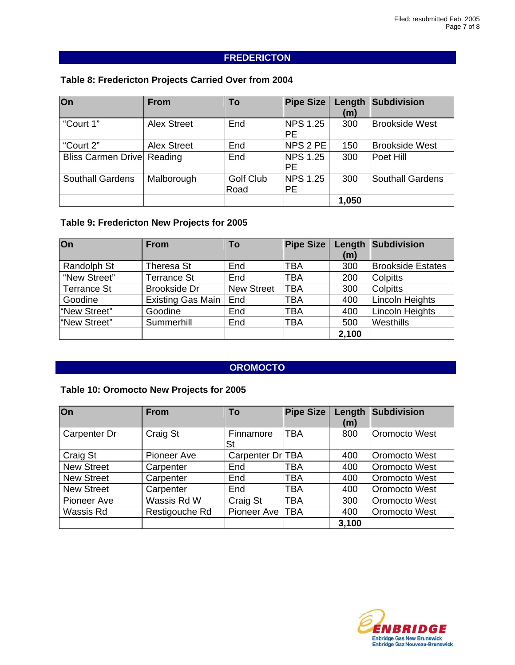# **FREDERICTON**

## **Table 8: Fredericton Projects Carried Over from 2004**

| $\overline{On}$         | <b>From</b>        | To               | <b>Pipe Size</b> | Length | Subdivision           |
|-------------------------|--------------------|------------------|------------------|--------|-----------------------|
|                         |                    |                  |                  | (m)    |                       |
| "Court 1"               | <b>Alex Street</b> | End              | <b>NPS 1.25</b>  | 300    | <b>Brookside West</b> |
|                         |                    |                  | <b>PE</b>        |        |                       |
| "Court 2"               | <b>Alex Street</b> | End              | NPS 2 PE         | 150    | <b>Brookside West</b> |
| Bliss Carmen Drive      | Reading            | End              | <b>NPS 1.25</b>  | 300    | Poet Hill             |
|                         |                    |                  | <b>PE</b>        |        |                       |
| <b>Southall Gardens</b> | Malborough         | <b>Golf Club</b> | <b>NPS 1.25</b>  | 300    | Southall Gardens      |
|                         |                    | Road             | <b>PE</b>        |        |                       |
|                         |                    |                  |                  | 1,050  |                       |

### **Table 9: Fredericton New Projects for 2005**

| On                 | <b>From</b>         | To                | <b>Pipe Size</b> | (m)   | <b>Length Subdivision</b> |
|--------------------|---------------------|-------------------|------------------|-------|---------------------------|
|                    |                     |                   |                  |       |                           |
| Randolph St        | Theresa St          | End               | TBA              | 300   | <b>Brookside Estates</b>  |
| "New Street"       | <b>Terrance St</b>  | End               | <b>TBA</b>       | 200   | <b>Colpitts</b>           |
| <b>Terrance St</b> | <b>Brookside Dr</b> | <b>New Street</b> | <b>TBA</b>       | 300   | <b>Colpitts</b>           |
| Goodine            | Existing Gas Main   | End               | TBA              | 400   | Lincoln Heights           |
| "New Street"       | Goodine             | End               | <b>TBA</b>       | 400   | Lincoln Heights           |
| "New Street"       | Summerhill          | End               | <b>TBA</b>       | 500   | Westhills                 |
|                    |                     |                   |                  | 2,100 |                           |

# **OROMOCTO**

# **Table 10: Oromocto New Projects for 2005**

| On                | <b>From</b>    | To               | <b>Pipe Size</b> | Length<br>(m) | Subdivision   |
|-------------------|----------------|------------------|------------------|---------------|---------------|
| Carpenter Dr      | Craig St       | Finnamore<br>St  | <b>TBA</b>       | 800           | Oromocto West |
| Craig St          | Pioneer Ave    | Carpenter Dr TBA |                  | 400           | Oromocto West |
| <b>New Street</b> | Carpenter      | End              | TBA              | 400           | Oromocto West |
| <b>New Street</b> | Carpenter      | End              | TBA              | 400           | Oromocto West |
| <b>New Street</b> | Carpenter      | End              | TBA              | 400           | Oromocto West |
| Pioneer Ave       | Wassis Rd W    | Craig St         | <b>TBA</b>       | 300           | Oromocto West |
| Wassis Rd         | Restigouche Rd | Pioneer Ave      | <b>TBA</b>       | 400           | Oromocto West |
|                   |                |                  |                  | 3,100         |               |